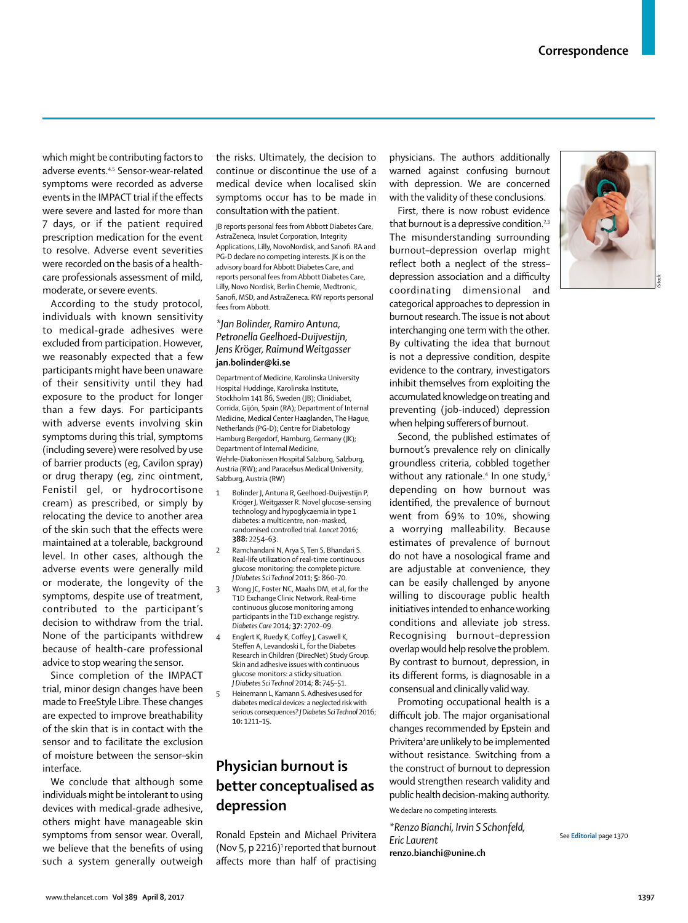which might be contributing factors to adverse events.4,5 Sensor-wear-related symptoms were recorded as adverse events in the IMPACT trial if the effects were severe and lasted for more than 7 days, or if the patient required prescription medication for the event to resolve. Adverse event severities were recorded on the basis of a healthcare professionals assessment of mild, moderate, or severe events.

According to the study protocol, individuals with known sensitivity to medical-grade adhesives were excluded from participation. However, we reasonably expected that a few participants might have been unaware of their sensitivity until they had exposure to the product for longer than a few days. For participants with adverse events involving skin symptoms during this trial, symptoms (including severe) were resolved by use of barrier products (eg, Cavilon spray) or drug therapy (eg, zinc ointment, Fenistil gel, or hydrocortisone cream) as prescribed, or simply by relocating the device to another area of the skin such that the effects were maintained at a tolerable, background level. In other cases, although the adverse events were generally mild or moderate, the longevity of the symptoms, despite use of treatment, contributed to the participant's decision to withdraw from the trial. None of the participants withdrew because of health-care professional advice to stop wearing the sensor.

Since completion of the IMPACT trial, minor design changes have been made to FreeStyle Libre. These changes are expected to improve breathability of the skin that is in contact with the sensor and to facilitate the exclusion of moisture between the sensor–skin interface.

We conclude that although some individuals might be intolerant to using devices with medical-grade adhesive, others might have manageable skin symptoms from sensor wear. Overall, we believe that the benefits of using such a system generally outweigh

the risks. Ultimately, the decision to continue or discontinue the use of a medical device when localised skin symptoms occur has to be made in consultation with the patient.

JB reports personal fees from Abbott Diabetes Care, AstraZeneca, Insulet Corporation, Integrity Applications, Lilly, NovoNordisk, and Sanofi. RA and PG-D declare no competing interests. JK is on the advisory board for Abbott Diabetes Care, and reports personal fees from Abbott Diabetes Care, Lilly, Novo Nordisk, Berlin Chemie, Medtronic, Sanofi, MSD, and AstraZeneca. RW reports personal fees from Abbott.

### *\*Jan Bolinder, Ramiro Antuna, Petronella Geelhoed-Duijvestijn, Jens Kr*ö*ger, Raimund Weitgasser* **jan.bolinder@ki.se**

Department of Medicine, Karolinska University Hospital Huddinge, Karolinska Institute, Stockholm 141 86, Sweden (JB); Clinidiabet, Corrida, Gijón, Spain (RA); Department of Internal Medicine, Medical Center Haaglanden, The Hague, Netherlands (PG-D); Centre for Diabetology Hamburg Bergedorf, Hamburg, Germany (JK); Department of Internal Medicine, Wehrle-Diakonissen Hospital Salzburg, Salzburg, Austria (RW); and Paracelsus Medical University, Salzburg, Austria (RW)

- 1 Bolinder J, Antuna R, Geelhoed-Duijvestijn P, Kröger J, Weitgasser R. Novel glucose-sensing technology and hypoglycaemia in type 1 diabetes: a multicentre, non-masked, randomised controlled trial. *Lancet* 2016; **388:** 2254–63.
- Ramchandani N, Arya S, Ten S, Bhandari S. Real-life utilization of real-time continuous glucose monitoring: the complete picture. *J Diabetes Sci Technol* 2011; **5:** 860–70.
- Wong JC, Foster NC, Maahs DM, et al, for the T1D Exchange Clinic Network. Real-time continuous glucose monitoring among participants in the T1D exchange registry. *Diabetes Care* 2014; **37:** 2702–09.
- 4 Englert K, Ruedy K, Coffey J, Caswell K, Steffen A, Levandoski L, for the Diabetes Research in Children (DirecNet) Study Group. Skin and adhesive issues with continuous glucose monitors: a sticky situation. *J Diabetes Sci Technol* 2014; **8:** 745–51.
- 5 Heinemann L, Kamann S. Adhesives used for diabetes medical devices: a neglected risk with serious consequences? *J Diabetes Sci Technol* 2016; **10:** 1211–15.

# **Physician burnout is better conceptualised as depression**

Ronald Epstein and Michael Privitera (Nov 5, p 2216)<sup>1</sup> reported that burnout affects more than half of practising

physicians. The authors additionally warned against confusing burnout with depression. We are concerned with the validity of these conclusions.

First, there is now robust evidence that burnout is a depressive condition.<sup>2,3</sup> The misunderstanding surrounding burnout–depression overlap might reflect both a neglect of the stress– depression association and a difficulty coordinating dimensional and categorical approaches to depression in burnout research. The issue is not about interchanging one term with the other. By cultivating the idea that burnout is not a depressive condition, despite evidence to the contrary, investigators inhibit themselves from exploiting the accumulated knowledge on treating and preventing (job-induced) depression when helping sufferers of burnout.

Second, the published estimates of burnout's prevalence rely on clinically groundless criteria, cobbled together without any rationale.<sup>4</sup> In one study,<sup>5</sup> depending on how burnout was identified, the prevalence of burnout went from 69% to 10%, showing a worrying malleability. Because estimates of prevalence of burnout do not have a nosological frame and are adjustable at convenience, they can be easily challenged by anyone willing to discourage public health initiatives intended to enhance working conditions and alleviate job stress. Recognising burnout–depression overlap would help resolve the problem. By contrast to burnout, depression, in its different forms, is diagnosable in a consensual and clinically valid way.

Promoting occupational health is a difficult job. The major organisational changes recommended by Epstein and Privitera<sup>1</sup> are unlikely to be implemented without resistance. Switching from a the construct of burnout to depression would strengthen research validity and public health decision-making authority.

We declare no competing interests.

*\*Renzo Bianchi, Irvin S Schonfeld, Eric Laurent* **renzo.bianchi@unine.ch**



See **Editorial** page 1370